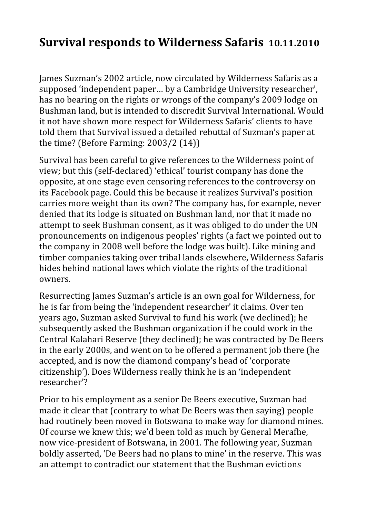## **Survival responds to Wilderness Safaris 10.11.2010**

James Suzman's 2002 article, now circulated by Wilderness Safaris as a supposed 'independent paper… by a Cambridge University researcher', has no bearing on the rights or wrongs of the company's 2009 lodge on Bushman land, but is intended to discredit Survival International. Would it not have shown more respect for Wilderness Safaris' clients to have told them that Survival issued a detailed rebuttal of Suzman's paper at the time? (Before Farming: 2003/2 (14))

Survival has been careful to give references to the Wilderness point of view; but this (self‐declared) 'ethical' tourist company has done the opposite, at one stage even censoring references to the controversy on its Facebook page. Could this be because it realizes Survival's position carries more weight than its own? The company has, for example, never denied that its lodge is situated on Bushman land, nor that it made no attempt to seek Bushman consent, as it was obliged to do under the UN pronouncements on indigenous peoples' rights (a fact we pointed out to the company in 2008 well before the lodge was built). Like mining and timber companies taking over tribal lands elsewhere, Wilderness Safaris hides behind national laws which violate the rights of the traditional owners.

Resurrecting James Suzman's article is an own goal for Wilderness, for he is far from being the 'independent researcher' it claims. Over ten years ago, Suzman asked Survival to fund his work (we declined); he subsequently asked the Bushman organization if he could work in the Central Kalahari Reserve (they declined); he was contracted by De Beers in the early 2000s, and went on to be offered a permanent job there (he accepted, and is now the diamond company's head of 'corporate citizenship'). Does Wilderness really think he is an 'independent researcher'?

Prior to his employment as a senior De Beers executive, Suzman had made it clear that (contrary to what De Beers was then saying) people had routinely been moved in Botswana to make way for diamond mines. Of course we knew this; we'd been told as much by General Merafhe, now vice‐president of Botswana, in 2001. The following year, Suzman boldly asserted, 'De Beers had no plans to mine' in the reserve. This was an attempt to contradict our statement that the Bushman evictions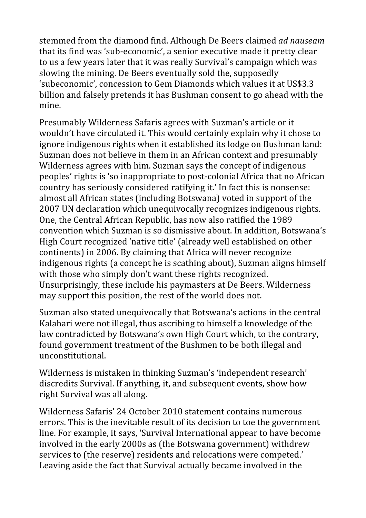stemmed from the diamond find. Although De Beers claimed *ad nauseam* that its find was 'sub‐economic', a senior executive made it pretty clear to us a few years later that it was really Survival's campaign which was slowing the mining. De Beers eventually sold the, supposedly 'subeconomic', concession to Gem Diamonds which values it at US\$3.3 billion and falsely pretends it has Bushman consent to go ahead with the mine.

Presumably Wilderness Safaris agrees with Suzman's article or it wouldn't have circulated it. This would certainly explain why it chose to ignore indigenous rights when it established its lodge on Bushman land: Suzman does not believe in them in an African context and presumably Wilderness agrees with him. Suzman says the concept of indigenous peoples' rights is 'so inappropriate to post‐colonial Africa that no African country has seriously considered ratifying it.' In fact this is nonsense: almost all African states (including Botswana) voted in support of the 2007 UN declaration which unequivocally recognizes indigenous rights. One, the Central African Republic, has now also ratified the 1989 convention which Suzman is so dismissive about. In addition, Botswana's High Court recognized 'native title' (already well established on other continents) in 2006. By claiming that Africa will never recognize indigenous rights (a concept he is scathing about), Suzman aligns himself with those who simply don't want these rights recognized. Unsurprisingly, these include his paymasters at De Beers. Wilderness may support this position, the rest of the world does not.

Suzman also stated unequivocally that Botswana's actions in the central Kalahari were not illegal, thus ascribing to himself a knowledge of the law contradicted by Botswana's own High Court which, to the contrary, found government treatment of the Bushmen to be both illegal and unconstitutional.

Wilderness is mistaken in thinking Suzman's 'independent research' discredits Survival. If anything, it, and subsequent events, show how right Survival was all along.

Wilderness Safaris' 24 October 2010 statement contains numerous errors. This is the inevitable result of its decision to toe the government line. For example, it says, 'Survival International appear to have become involved in the early 2000s as (the Botswana government) withdrew services to (the reserve) residents and relocations were competed.' Leaving aside the fact that Survival actually became involved in the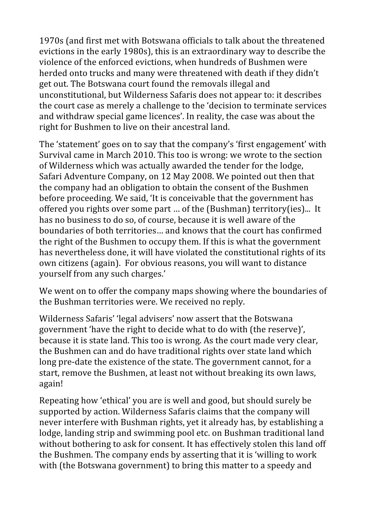1970s (and first met with Botswana officials to talk about the threatened evictions in the early 1980s), this is an extraordinary way to describe the violence of the enforced evictions, when hundreds of Bushmen were herded onto trucks and many were threatened with death if they didn't get out. The Botswana court found the removals illegal and unconstitutional, but Wilderness Safaris does not appear to: it describes the court case as merely a challenge to the 'decision to terminate services and withdraw special game licences'. In reality, the case was about the right for Bushmen to live on their ancestral land.

The 'statement' goes on to say that the company's 'first engagement' with Survival came in March 2010. This too is wrong: we wrote to the section of Wilderness which was actually awarded the tender for the lodge, Safari Adventure Company, on 12 May 2008. We pointed out then that the company had an obligation to obtain the consent of the Bushmen before proceeding. We said, 'It is conceivable that the government has offered you rights over some part … of the (Bushman) territory(ies)... It has no business to do so, of course, because it is well aware of the boundaries of both territories… and knows that the court has confirmed the right of the Bushmen to occupy them. If this is what the government has nevertheless done, it will have violated the constitutional rights of its own citizens (again). For obvious reasons, you will want to distance yourself from any such charges.'

We went on to offer the company maps showing where the boundaries of the Bushman territories were. We received no reply.

Wilderness Safaris' 'legal advisers' now assert that the Botswana government 'have the right to decide what to do with (the reserve)', because it is state land. This too is wrong. As the court made very clear, the Bushmen can and do have traditional rights over state land which long pre-date the existence of the state. The government cannot, for a start, remove the Bushmen, at least not without breaking its own laws, again!

Repeating how 'ethical' you are is well and good, but should surely be supported by action. Wilderness Safaris claims that the company will never interfere with Bushman rights, yet it already has, by establishing a lodge, landing strip and swimming pool etc. on Bushman traditional land without bothering to ask for consent. It has effectively stolen this land off the Bushmen. The company ends by asserting that it is 'willing to work with (the Botswana government) to bring this matter to a speedy and